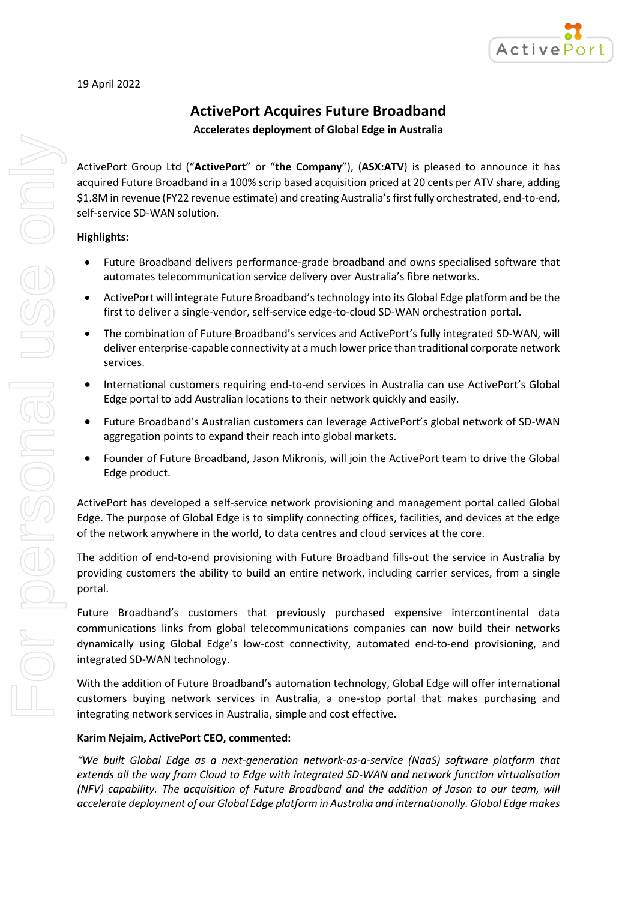

# **ActivePort Acquires Future Broadband**

**Accelerates deployment of Global Edge in Australia**

ActivePort Group Ltd ("**ActivePort**" or "**the Company**"), (**ASX:ATV**) is pleased to announce it has acquired Future Broadband in a 100% scrip based acquisition priced at 20 cents per ATV share, adding \$1.8M in revenue (FY22 revenue estimate) and creating Australia's first fully orchestrated, end-to-end, self-service SD-WAN solution.

# **Highlights:**

- Future Broadband delivers performance-grade broadband and owns specialised software that automates telecommunication service delivery over Australia's fibre networks.
- ActivePort will integrate Future Broadband's technology into its Global Edge platform and be the first to deliver a single-vendor, self-service edge-to-cloud SD-WAN orchestration portal.
- The combination of Future Broadband's services and ActivePort's fully integrated SD-WAN, will deliver enterprise-capable connectivity at a much lower price than traditional corporate network services.
- International customers requiring end-to-end services in Australia can use ActivePort's Global Edge portal to add Australian locations to their network quickly and easily.
- Future Broadband's Australian customers can leverage ActivePort's global network of SD-WAN aggregation points to expand their reach into global markets.
- Founder of Future Broadband, Jason Mikronis, will join the ActivePort team to drive the Global Edge product.

ActivePort has developed a self-service network provisioning and management portal called Global Edge. The purpose of Global Edge is to simplify connecting offices, facilities, and devices at the edge of the network anywhere in the world, to data centres and cloud services at the core.

The addition of end-to-end provisioning with Future Broadband fills-out the service in Australia by providing customers the ability to build an entire network, including carrier services, from a single portal.

Future Broadband's customers that previously purchased expensive intercontinental data communications links from global telecommunications companies can now build their networks dynamically using Global Edge's low-cost connectivity, automated end-to-end provisioning, and integrated SD-WAN technology.

With the addition of Future Broadband's automation technology, Global Edge will offer international customers buying network services in Australia, a one-stop portal that makes purchasing and integrating network services in Australia, simple and cost effective.

# **Karim Nejaim, ActivePort CEO, commented:**

*"We built Global Edge as a next-generation network-as-a-service (NaaS) software platform that extends all the way from Cloud to Edge with integrated SD-WAN and network function virtualisation (NFV) capability. The acquisition of Future Broadband and the addition of Jason to our team, will accelerate deployment of our Global Edge platform in Australia and internationally. Global Edge makes*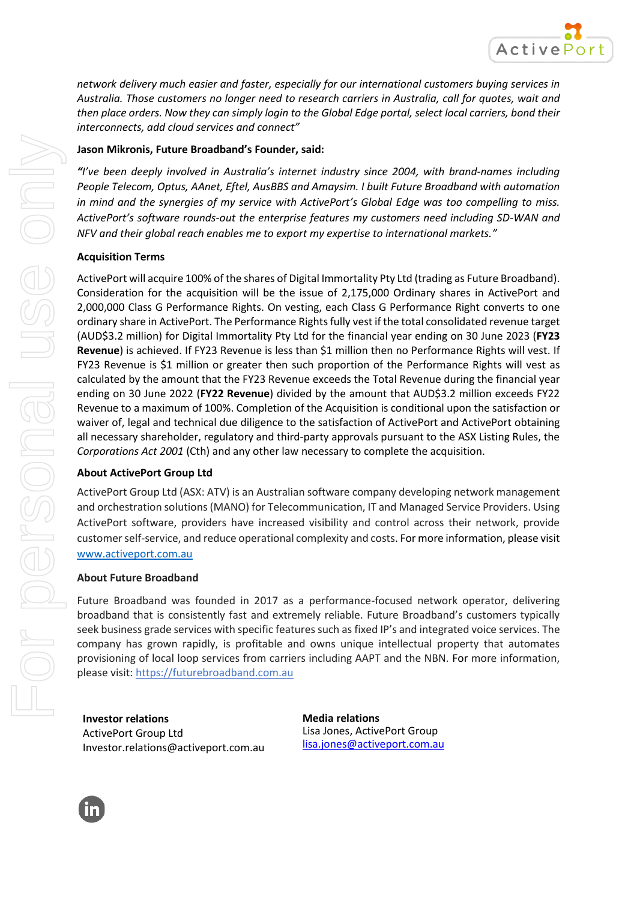

*network delivery much easier and faster, especially for our international customers buying services in Australia. Those customers no longer need to research carriers in Australia, call for quotes, wait and then place orders. Now they can simply login to the Global Edge portal, select local carriers, bond their interconnects, add cloud services and connect"*

## **Jason Mikronis, Future Broadband's Founder, said:**

*"I've been deeply involved in Australia's internet industry since 2004, with brand-names including People Telecom, Optus, AAnet, Eftel, AusBBS and Amaysim. I built Future Broadband with automation in mind and the synergies of my service with ActivePort's Global Edge was too compelling to miss. ActivePort's software rounds-out the enterprise features my customers need including SD-WAN and NFV and their global reach enables me to export my expertise to international markets."*

### **Acquisition Terms**

ActivePort will acquire 100% of the shares of Digital Immortality Pty Ltd (trading as Future Broadband). Consideration for the acquisition will be the issue of 2,175,000 Ordinary shares in ActivePort and 2,000,000 Class G Performance Rights. On vesting, each Class G Performance Right converts to one ordinary share in ActivePort. The Performance Rights fully vest if the total consolidated revenue target (AUD\$3.2 million) for Digital Immortality Pty Ltd for the financial year ending on 30 June 2023 (**FY23 Revenue**) is achieved. If FY23 Revenue is less than \$1 million then no Performance Rights will vest. If FY23 Revenue is \$1 million or greater then such proportion of the Performance Rights will vest as calculated by the amount that the FY23 Revenue exceeds the Total Revenue during the financial year ending on 30 June 2022 (**FY22 Revenue**) divided by the amount that AUD\$3.2 million exceeds FY22 Revenue to a maximum of 100%. Completion of the Acquisition is conditional upon the satisfaction or waiver of, legal and technical due diligence to the satisfaction of ActivePort and ActivePort obtaining all necessary shareholder, regulatory and third-party approvals pursuant to the ASX Listing Rules, the *Corporations Act 2001* (Cth) and any other law necessary to complete the acquisition.

#### **About ActivePort Group Ltd**

ActivePort Group Ltd (ASX: ATV) is an Australian software company developing network management and orchestration solutions (MANO) for Telecommunication, IT and Managed Service Providers. Using ActivePort software, providers have increased visibility and control across their network, provide customer self-service, and reduce operational complexity and costs. For more information, please visit [www.activeport.com.au](http://www.activeport.com.au/)

#### **About Future Broadband**

Future Broadband was founded in 2017 as a performance-focused network operator, delivering broadband that is consistently fast and extremely reliable. Future Broadband's customers typically seek business grade services with specific features such as fixed IP's and integrated voice services. The company has grown rapidly, is profitable and owns unique intellectual property that automates provisioning of local loop services from carriers including AAPT and the NBN. For more information, please visit: [https://futurebroadband.com.au](https://futurebroadband.com.au/)

**Investor relations** ActivePort Group Ltd [Investor.relations@activeport.com.au](mailto:Investor.relations@activeport.com.au)  **Media relations** Lisa Jones, ActivePort Group [lisa.jones@activeport.com.au](mailto:lisa.jones@activeport.com.au)